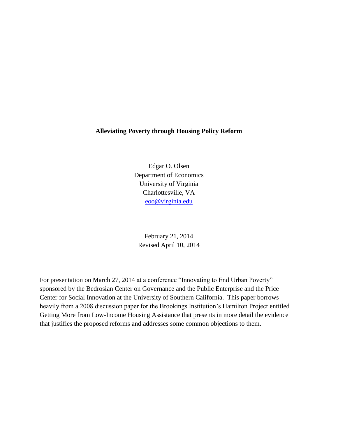# **Alleviating Poverty through Housing Policy Reform**

Edgar O. Olsen Department of Economics University of Virginia Charlottesville, VA [eoo@virginia.edu](mailto:eoo@virginia.edu)

February 21, 2014 Revised April 10, 2014

For presentation on March 27, 2014 at a conference "Innovating to End Urban Poverty" sponsored by the Bedrosian Center on Governance and the Public Enterprise and the Price Center for Social Innovation at the University of Southern California. This paper borrows heavily from a 2008 discussion paper for the Brookings Institution's Hamilton Project entitled Getting More from Low-Income Housing Assistance that presents in more detail the evidence that justifies the proposed reforms and addresses some common objections to them.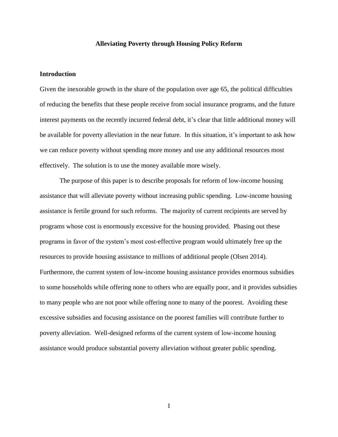## **Alleviating Poverty through Housing Policy Reform**

# **Introduction**

Given the inexorable growth in the share of the population over age 65, the political difficulties of reducing the benefits that these people receive from social insurance programs, and the future interest payments on the recently incurred federal debt, it's clear that little additional money will be available for poverty alleviation in the near future. In this situation, it's important to ask how we can reduce poverty without spending more money and use any additional resources most effectively. The solution is to use the money available more wisely.

The purpose of this paper is to describe proposals for reform of low-income housing assistance that will alleviate poverty without increasing public spending. Low-income housing assistance is fertile ground for such reforms. The majority of current recipients are served by programs whose cost is enormously excessive for the housing provided. Phasing out these programs in favor of the system's most cost-effective program would ultimately free up the resources to provide housing assistance to millions of additional people (Olsen 2014). Furthermore, the current system of low-income housing assistance provides enormous subsidies to some households while offering none to others who are equally poor, and it provides subsidies to many people who are not poor while offering none to many of the poorest. Avoiding these excessive subsidies and focusing assistance on the poorest families will contribute further to poverty alleviation. Well-designed reforms of the current system of low-income housing assistance would produce substantial poverty alleviation without greater public spending.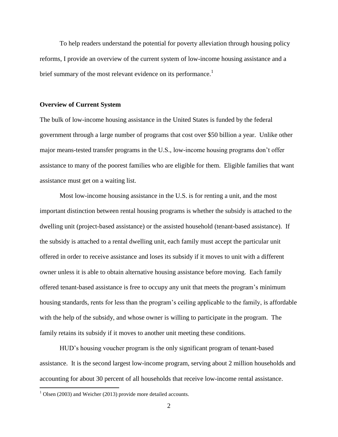To help readers understand the potential for poverty alleviation through housing policy reforms, I provide an overview of the current system of low-income housing assistance and a brief summary of the most relevant evidence on its performance.<sup>1</sup>

### **Overview of Current System**

The bulk of low-income housing assistance in the United States is funded by the federal government through a large number of programs that cost over \$50 billion a year. Unlike other major means-tested transfer programs in the U.S., low-income housing programs don't offer assistance to many of the poorest families who are eligible for them. Eligible families that want assistance must get on a waiting list.

Most low-income housing assistance in the U.S. is for renting a unit, and the most important distinction between rental housing programs is whether the subsidy is attached to the dwelling unit (project-based assistance) or the assisted household (tenant-based assistance). If the subsidy is attached to a rental dwelling unit, each family must accept the particular unit offered in order to receive assistance and loses its subsidy if it moves to unit with a different owner unless it is able to obtain alternative housing assistance before moving. Each family offered tenant-based assistance is free to occupy any unit that meets the program's minimum housing standards, rents for less than the program's ceiling applicable to the family, is affordable with the help of the subsidy, and whose owner is willing to participate in the program. The family retains its subsidy if it moves to another unit meeting these conditions.

HUD's housing voucher program is the only significant program of tenant-based assistance. It is the second largest low-income program, serving about 2 million households and accounting for about 30 percent of all households that receive low-income rental assistance.

 $\overline{a}$ 

 $1$  Olsen (2003) and Weicher (2013) provide more detailed accounts.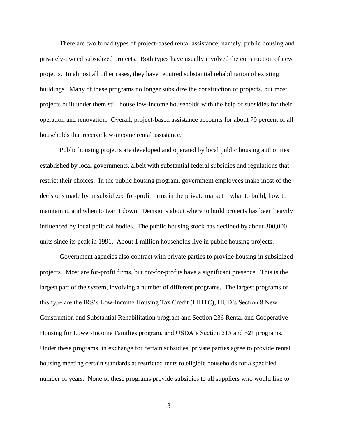There are two broad types of project-based rental assistance, namely, public housing and privately-owned subsidized projects. Both types have usually involved the construction of new projects. In almost all other cases, they have required substantial rehabilitation of existing buildings. Many of these programs no longer subsidize the construction of projects, but most projects built under them still house low-income households with the help of subsidies for their operation and renovation. Overall, project-based assistance accounts for about 70 percent of all households that receive low-income rental assistance.

Public housing projects are developed and operated by local public housing authorities established by local governments, albeit with substantial federal subsidies and regulations that restrict their choices. In the public housing program, government employees make most of the decisions made by unsubsidized for-profit firms in the private market – what to build, how to maintain it, and when to tear it down. Decisions about where to build projects has been heavily influenced by local political bodies. The public housing stock has declined by about 300,000 units since its peak in 1991. About 1 million households live in public housing projects.

Government agencies also contract with private parties to provide housing in subsidized projects. Most are for-profit firms, but not-for-profits have a significant presence. This is the largest part of the system, involving a number of different programs. The largest programs of this type are the IRS's Low-Income Housing Tax Credit (LIHTC), HUD's Section 8 New Construction and Substantial Rehabilitation program and Section 236 Rental and Cooperative Housing for Lower-Income Families program, and USDA's Section 515 and 521 programs. Under these programs, in exchange for certain subsidies, private parties agree to provide rental housing meeting certain standards at restricted rents to eligible households for a specified number of years. None of these programs provide subsidies to all suppliers who would like to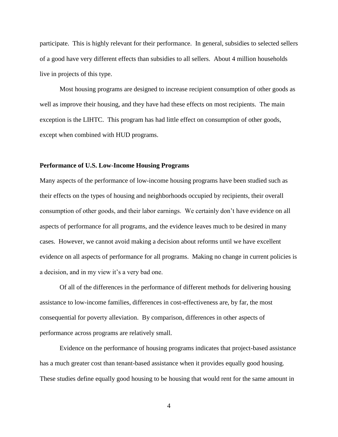participate. This is highly relevant for their performance. In general, subsidies to selected sellers of a good have very different effects than subsidies to all sellers. About 4 million households live in projects of this type.

Most housing programs are designed to increase recipient consumption of other goods as well as improve their housing, and they have had these effects on most recipients. The main exception is the LIHTC. This program has had little effect on consumption of other goods, except when combined with HUD programs.

## **Performance of U.S. Low-Income Housing Programs**

Many aspects of the performance of low-income housing programs have been studied such as their effects on the types of housing and neighborhoods occupied by recipients, their overall consumption of other goods, and their labor earnings. We certainly don't have evidence on all aspects of performance for all programs, and the evidence leaves much to be desired in many cases. However, we cannot avoid making a decision about reforms until we have excellent evidence on all aspects of performance for all programs. Making no change in current policies is a decision, and in my view it's a very bad one.

Of all of the differences in the performance of different methods for delivering housing assistance to low-income families, differences in cost-effectiveness are, by far, the most consequential for poverty alleviation. By comparison, differences in other aspects of performance across programs are relatively small.

Evidence on the performance of housing programs indicates that project-based assistance has a much greater cost than tenant-based assistance when it provides equally good housing. These studies define equally good housing to be housing that would rent for the same amount in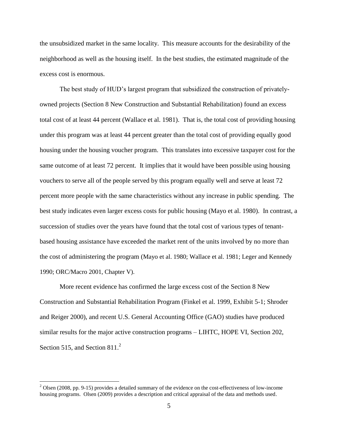the unsubsidized market in the same locality. This measure accounts for the desirability of the neighborhood as well as the housing itself. In the best studies, the estimated magnitude of the excess cost is enormous.

The best study of HUD's largest program that subsidized the construction of privatelyowned projects (Section 8 New Construction and Substantial Rehabilitation) found an excess total cost of at least 44 percent (Wallace et al. 1981). That is, the total cost of providing housing under this program was at least 44 percent greater than the total cost of providing equally good housing under the housing voucher program. This translates into excessive taxpayer cost for the same outcome of at least 72 percent. It implies that it would have been possible using housing vouchers to serve all of the people served by this program equally well and serve at least 72 percent more people with the same characteristics without any increase in public spending. The best study indicates even larger excess costs for public housing (Mayo et al. 1980). In contrast, a succession of studies over the years have found that the total cost of various types of tenantbased housing assistance have exceeded the market rent of the units involved by no more than the cost of administering the program (Mayo et al. 1980; Wallace et al. 1981; Leger and Kennedy 1990; ORC/Macro 2001, Chapter V).

More recent evidence has confirmed the large excess cost of the Section 8 New Construction and Substantial Rehabilitation Program (Finkel et al. 1999, Exhibit 5-1; Shroder and Reiger 2000), and recent U.S. General Accounting Office (GAO) studies have produced similar results for the major active construction programs – LIHTC, HOPE VI, Section 202, Section 515, and Section  $811<sup>2</sup>$ 

 $\overline{a}$ 

<sup>&</sup>lt;sup>2</sup> Olsen (2008, pp. 9-15) provides a detailed summary of the evidence on the cost-effectiveness of low-income housing programs. Olsen (2009) provides a description and critical appraisal of the data and methods used.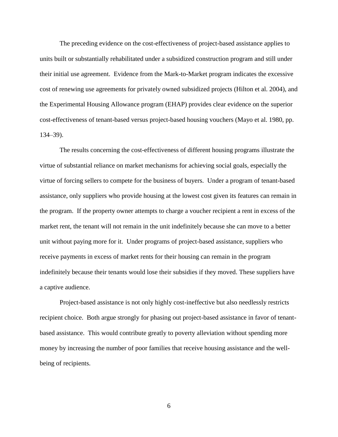The preceding evidence on the cost-effectiveness of project-based assistance applies to units built or substantially rehabilitated under a subsidized construction program and still under their initial use agreement. Evidence from the Mark-to-Market program indicates the excessive cost of renewing use agreements for privately owned subsidized projects (Hilton et al. 2004), and the Experimental Housing Allowance program (EHAP) provides clear evidence on the superior cost-effectiveness of tenant-based versus project-based housing vouchers (Mayo et al. 1980, pp. 134–39).

The results concerning the cost-effectiveness of different housing programs illustrate the virtue of substantial reliance on market mechanisms for achieving social goals, especially the virtue of forcing sellers to compete for the business of buyers. Under a program of tenant-based assistance, only suppliers who provide housing at the lowest cost given its features can remain in the program. If the property owner attempts to charge a voucher recipient a rent in excess of the market rent, the tenant will not remain in the unit indefinitely because she can move to a better unit without paying more for it. Under programs of project-based assistance, suppliers who receive payments in excess of market rents for their housing can remain in the program indefinitely because their tenants would lose their subsidies if they moved. These suppliers have a captive audience.

Project-based assistance is not only highly cost-ineffective but also needlessly restricts recipient choice. Both argue strongly for phasing out project-based assistance in favor of tenantbased assistance. This would contribute greatly to poverty alleviation without spending more money by increasing the number of poor families that receive housing assistance and the wellbeing of recipients.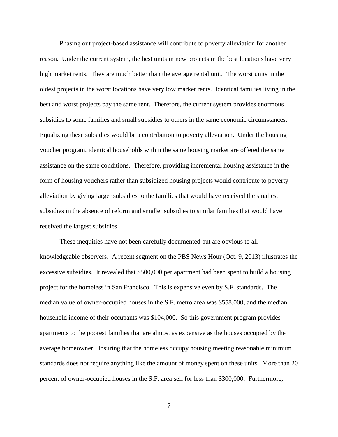Phasing out project-based assistance will contribute to poverty alleviation for another reason. Under the current system, the best units in new projects in the best locations have very high market rents. They are much better than the average rental unit. The worst units in the oldest projects in the worst locations have very low market rents. Identical families living in the best and worst projects pay the same rent. Therefore, the current system provides enormous subsidies to some families and small subsidies to others in the same economic circumstances. Equalizing these subsidies would be a contribution to poverty alleviation. Under the housing voucher program, identical households within the same housing market are offered the same assistance on the same conditions. Therefore, providing incremental housing assistance in the form of housing vouchers rather than subsidized housing projects would contribute to poverty alleviation by giving larger subsidies to the families that would have received the smallest subsidies in the absence of reform and smaller subsidies to similar families that would have received the largest subsidies.

These inequities have not been carefully documented but are obvious to all knowledgeable observers. A recent segment on the PBS News Hour (Oct. 9, 2013) illustrates the excessive subsidies. It revealed that \$500,000 per apartment had been spent to build a housing project for the homeless in San Francisco. This is expensive even by S.F. standards. The median value of owner-occupied houses in the S.F. metro area was \$558,000, and the median household income of their occupants was \$104,000. So this government program provides apartments to the poorest families that are almost as expensive as the houses occupied by the average homeowner. Insuring that the homeless occupy housing meeting reasonable minimum standards does not require anything like the amount of money spent on these units. More than 20 percent of owner-occupied houses in the S.F. area sell for less than \$300,000. Furthermore,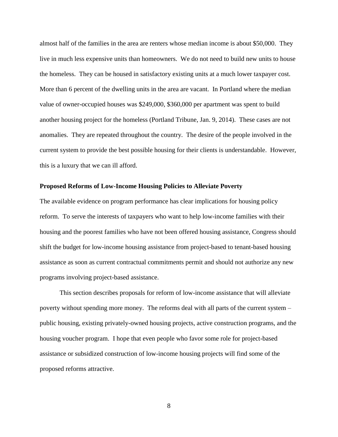almost half of the families in the area are renters whose median income is about \$50,000. They live in much less expensive units than homeowners. We do not need to build new units to house the homeless. They can be housed in satisfactory existing units at a much lower taxpayer cost. More than 6 percent of the dwelling units in the area are vacant. In Portland where the median value of owner-occupied houses was \$249,000, \$360,000 per apartment was spent to build another housing project for the homeless (Portland Tribune, Jan. 9, 2014). These cases are not anomalies. They are repeated throughout the country. The desire of the people involved in the current system to provide the best possible housing for their clients is understandable. However, this is a luxury that we can ill afford.

### **Proposed Reforms of Low-Income Housing Policies to Alleviate Poverty**

The available evidence on program performance has clear implications for housing policy reform. To serve the interests of taxpayers who want to help low-income families with their housing and the poorest families who have not been offered housing assistance, Congress should shift the budget for low-income housing assistance from project-based to tenant-based housing assistance as soon as current contractual commitments permit and should not authorize any new programs involving project-based assistance.

This section describes proposals for reform of low-income assistance that will alleviate poverty without spending more money. The reforms deal with all parts of the current system – public housing, existing privately-owned housing projects, active construction programs, and the housing voucher program. I hope that even people who favor some role for project-based assistance or subsidized construction of low-income housing projects will find some of the proposed reforms attractive.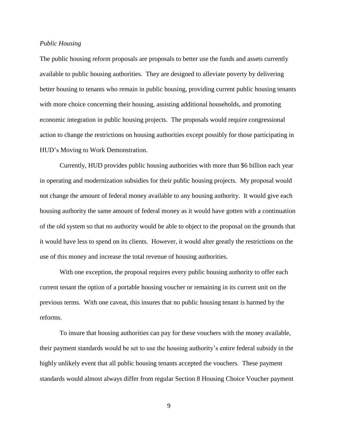#### *Public Housing*

The public housing reform proposals are proposals to better use the funds and assets currently available to public housing authorities. They are designed to alleviate poverty by delivering better housing to tenants who remain in public housing, providing current public housing tenants with more choice concerning their housing, assisting additional households, and promoting economic integration in public housing projects. The proposals would require congressional action to change the restrictions on housing authorities except possibly for those participating in HUD's Moving to Work Demonstration.

Currently, HUD provides public housing authorities with more than \$6 billion each year in operating and modernization subsidies for their public housing projects. My proposal would not change the amount of federal money available to any housing authority. It would give each housing authority the same amount of federal money as it would have gotten with a continuation of the old system so that no authority would be able to object to the proposal on the grounds that it would have less to spend on its clients. However, it would alter greatly the restrictions on the use of this money and increase the total revenue of housing authorities.

With one exception, the proposal requires every public housing authority to offer each current tenant the option of a portable housing voucher or remaining in its current unit on the previous terms. With one caveat, this insures that no public housing tenant is harmed by the reforms.

To insure that housing authorities can pay for these vouchers with the money available, their payment standards would be set to use the housing authority's entire federal subsidy in the highly unlikely event that all public housing tenants accepted the vouchers. These payment standards would almost always differ from regular Section 8 Housing Choice Voucher payment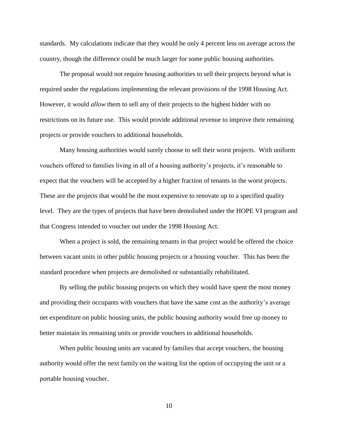standards. My calculations indicate that they would be only 4 percent less on average across the country, though the difference could be much larger for some public housing authorities.

The proposal would not require housing authorities to sell their projects beyond what is required under the regulations implementing the relevant provisions of the 1998 Housing Act. However, it would *allow* them to sell any of their projects to the highest bidder with no restrictions on its future use. This would provide additional revenue to improve their remaining projects or provide vouchers to additional households.

Many housing authorities would surely choose to sell their worst projects. With uniform vouchers offered to families living in all of a housing authority's projects, it's reasonable to expect that the vouchers will be accepted by a higher fraction of tenants in the worst projects. These are the projects that would be the most expensive to renovate up to a specified quality level. They are the types of projects that have been demolished under the HOPE VI program and that Congress intended to voucher out under the 1998 Housing Act.

When a project is sold, the remaining tenants in that project would be offered the choice between vacant units in other public housing projects or a housing voucher. This has been the standard procedure when projects are demolished or substantially rehabilitated.

By selling the public housing projects on which they would have spent the most money and providing their occupants with vouchers that have the same cost as the authority's average net expenditure on public housing units, the public housing authority would free up money to better maintain its remaining units or provide vouchers to additional households.

When public housing units are vacated by families that accept vouchers, the housing authority would offer the next family on the waiting list the option of occupying the unit or a portable housing voucher.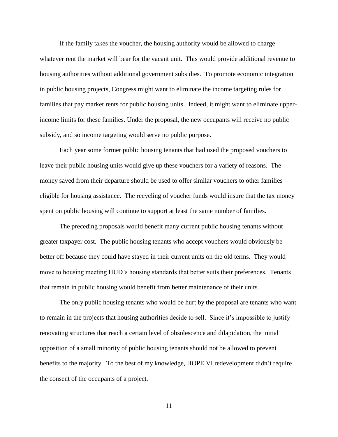If the family takes the voucher, the housing authority would be allowed to charge whatever rent the market will bear for the vacant unit. This would provide additional revenue to housing authorities without additional government subsidies. To promote economic integration in public housing projects, Congress might want to eliminate the income targeting rules for families that pay market rents for public housing units. Indeed, it might want to eliminate upperincome limits for these families. Under the proposal, the new occupants will receive no public subsidy, and so income targeting would serve no public purpose.

Each year some former public housing tenants that had used the proposed vouchers to leave their public housing units would give up these vouchers for a variety of reasons. The money saved from their departure should be used to offer similar vouchers to other families eligible for housing assistance. The recycling of voucher funds would insure that the tax money spent on public housing will continue to support at least the same number of families.

The preceding proposals would benefit many current public housing tenants without greater taxpayer cost. The public housing tenants who accept vouchers would obviously be better off because they could have stayed in their current units on the old terms. They would move to housing meeting HUD's housing standards that better suits their preferences. Tenants that remain in public housing would benefit from better maintenance of their units.

The only public housing tenants who would be hurt by the proposal are tenants who want to remain in the projects that housing authorities decide to sell. Since it's impossible to justify renovating structures that reach a certain level of obsolescence and dilapidation, the initial opposition of a small minority of public housing tenants should not be allowed to prevent benefits to the majority. To the best of my knowledge, HOPE VI redevelopment didn't require the consent of the occupants of a project.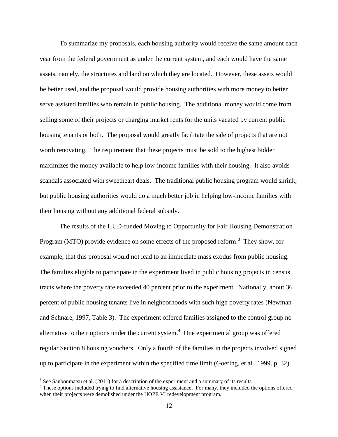To summarize my proposals, each housing authority would receive the same amount each year from the federal government as under the current system, and each would have the same assets, namely, the structures and land on which they are located. However, these assets would be better used, and the proposal would provide housing authorities with more money to better serve assisted families who remain in public housing. The additional money would come from selling some of their projects or charging market rents for the units vacated by current public housing tenants or both. The proposal would greatly facilitate the sale of projects that are not worth renovating. The requirement that these projects must be sold to the highest bidder maximizes the money available to help low-income families with their housing. It also avoids scandals associated with sweetheart deals. The traditional public housing program would shrink, but public housing authorities would do a much better job in helping low-income families with their housing without any additional federal subsidy.

The results of the HUD-funded Moving to Opportunity for Fair Housing Demonstration Program (MTO) provide evidence on some effects of the proposed reform.<sup>3</sup> They show, for example, that this proposal would not lead to an immediate mass exodus from public housing. The families eligible to participate in the experiment lived in public housing projects in census tracts where the poverty rate exceeded 40 percent prior to the experiment. Nationally, about 36 percent of public housing tenants live in neighborhoods with such high poverty rates (Newman and Schnare, 1997, Table 3). The experiment offered families assigned to the control group no alternative to their options under the current system.<sup>4</sup> One experimental group was offered regular Section 8 housing vouchers. Only a fourth of the families in the projects involved signed up to participate in the experiment within the specified time limit (Goering, et al., 1999. p. 32).

 $\overline{a}$ 

 $3$  See Sanbonmatsu et al. (2011) for a description of the experiment and a summary of its results.

<sup>&</sup>lt;sup>4</sup> These options included trying to find alternative housing assistance. For many, they included the options offered when their projects were demolished under the HOPE VI redevelopment program.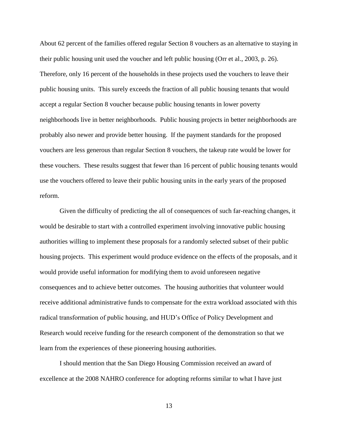About 62 percent of the families offered regular Section 8 vouchers as an alternative to staying in their public housing unit used the voucher and left public housing (Orr et al., 2003, p. 26). Therefore, only 16 percent of the households in these projects used the vouchers to leave their public housing units. This surely exceeds the fraction of all public housing tenants that would accept a regular Section 8 voucher because public housing tenants in lower poverty neighborhoods live in better neighborhoods. Public housing projects in better neighborhoods are probably also newer and provide better housing. If the payment standards for the proposed vouchers are less generous than regular Section 8 vouchers, the takeup rate would be lower for these vouchers. These results suggest that fewer than 16 percent of public housing tenants would use the vouchers offered to leave their public housing units in the early years of the proposed reform.

Given the difficulty of predicting the all of consequences of such far-reaching changes, it would be desirable to start with a controlled experiment involving innovative public housing authorities willing to implement these proposals for a randomly selected subset of their public housing projects. This experiment would produce evidence on the effects of the proposals, and it would provide useful information for modifying them to avoid unforeseen negative consequences and to achieve better outcomes. The housing authorities that volunteer would receive additional administrative funds to compensate for the extra workload associated with this radical transformation of public housing, and HUD's Office of Policy Development and Research would receive funding for the research component of the demonstration so that we learn from the experiences of these pioneering housing authorities.

I should mention that the San Diego Housing Commission received an award of excellence at the 2008 NAHRO conference for adopting reforms similar to what I have just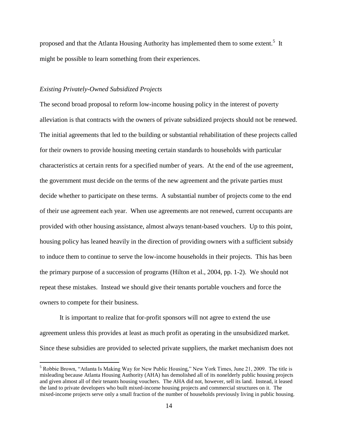proposed and that the Atlanta Housing Authority has implemented them to some extent.<sup>5</sup> It might be possible to learn something from their experiences.

## *Existing Privately-Owned Subsidized Projects*

 $\overline{a}$ 

The second broad proposal to reform low-income housing policy in the interest of poverty alleviation is that contracts with the owners of private subsidized projects should not be renewed. The initial agreements that led to the building or substantial rehabilitation of these projects called for their owners to provide housing meeting certain standards to households with particular characteristics at certain rents for a specified number of years. At the end of the use agreement, the government must decide on the terms of the new agreement and the private parties must decide whether to participate on these terms. A substantial number of projects come to the end of their use agreement each year. When use agreements are not renewed, current occupants are provided with other housing assistance, almost always tenant-based vouchers. Up to this point, housing policy has leaned heavily in the direction of providing owners with a sufficient subsidy to induce them to continue to serve the low-income households in their projects. This has been the primary purpose of a succession of programs (Hilton et al., 2004, pp. 1-2). We should not repeat these mistakes. Instead we should give their tenants portable vouchers and force the owners to compete for their business.

It is important to realize that for-profit sponsors will not agree to extend the use agreement unless this provides at least as much profit as operating in the unsubsidized market. Since these subsidies are provided to selected private suppliers, the market mechanism does not

<sup>5</sup> Robbie Brown, "Atlanta Is Making Way for New Public Housing," New York Times, June 21, 2009. The title is misleading because Atlanta Housing Authority (AHA) has demolished all of its nonelderly public housing projects and given almost all of their tenants housing vouchers. The AHA did not, however, sell its land. Instead, it leased the land to private developers who built mixed-income housing projects and commercial structures on it. The mixed-income projects serve only a small fraction of the number of households previously living in public housing.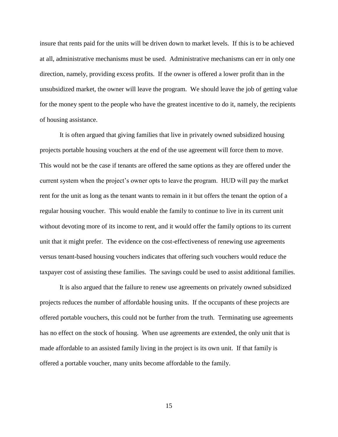insure that rents paid for the units will be driven down to market levels. If this is to be achieved at all, administrative mechanisms must be used. Administrative mechanisms can err in only one direction, namely, providing excess profits. If the owner is offered a lower profit than in the unsubsidized market, the owner will leave the program. We should leave the job of getting value for the money spent to the people who have the greatest incentive to do it, namely, the recipients of housing assistance.

It is often argued that giving families that live in privately owned subsidized housing projects portable housing vouchers at the end of the use agreement will force them to move. This would not be the case if tenants are offered the same options as they are offered under the current system when the project's owner opts to leave the program. HUD will pay the market rent for the unit as long as the tenant wants to remain in it but offers the tenant the option of a regular housing voucher. This would enable the family to continue to live in its current unit without devoting more of its income to rent, and it would offer the family options to its current unit that it might prefer. The evidence on the cost-effectiveness of renewing use agreements versus tenant-based housing vouchers indicates that offering such vouchers would reduce the taxpayer cost of assisting these families. The savings could be used to assist additional families.

It is also argued that the failure to renew use agreements on privately owned subsidized projects reduces the number of affordable housing units. If the occupants of these projects are offered portable vouchers, this could not be further from the truth. Terminating use agreements has no effect on the stock of housing. When use agreements are extended, the only unit that is made affordable to an assisted family living in the project is its own unit. If that family is offered a portable voucher, many units become affordable to the family.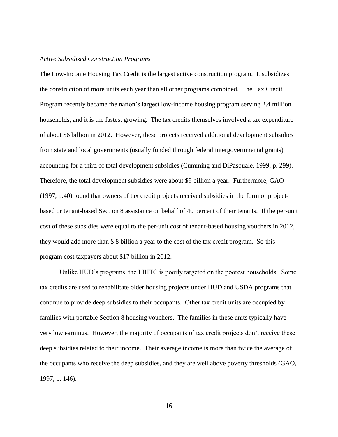## *Active Subsidized Construction Programs*

The Low-Income Housing Tax Credit is the largest active construction program. It subsidizes the construction of more units each year than all other programs combined. The Tax Credit Program recently became the nation's largest low-income housing program serving 2.4 million households, and it is the fastest growing. The tax credits themselves involved a tax expenditure of about \$6 billion in 2012. However, these projects received additional development subsidies from state and local governments (usually funded through federal intergovernmental grants) accounting for a third of total development subsidies (Cumming and DiPasquale, 1999, p. 299). Therefore, the total development subsidies were about \$9 billion a year. Furthermore, GAO (1997, p.40) found that owners of tax credit projects received subsidies in the form of projectbased or tenant-based Section 8 assistance on behalf of 40 percent of their tenants. If the per-unit cost of these subsidies were equal to the per-unit cost of tenant-based housing vouchers in 2012, they would add more than \$ 8 billion a year to the cost of the tax credit program. So this program cost taxpayers about \$17 billion in 2012.

Unlike HUD's programs, the LIHTC is poorly targeted on the poorest households. Some tax credits are used to rehabilitate older housing projects under HUD and USDA programs that continue to provide deep subsidies to their occupants. Other tax credit units are occupied by families with portable Section 8 housing vouchers. The families in these units typically have very low earnings. However, the majority of occupants of tax credit projects don't receive these deep subsidies related to their income. Their average income is more than twice the average of the occupants who receive the deep subsidies, and they are well above poverty thresholds (GAO, 1997, p. 146).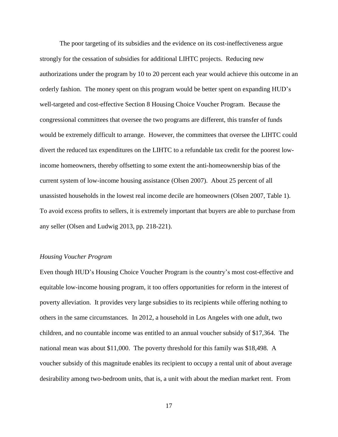The poor targeting of its subsidies and the evidence on its cost-ineffectiveness argue strongly for the cessation of subsidies for additional LIHTC projects. Reducing new authorizations under the program by 10 to 20 percent each year would achieve this outcome in an orderly fashion. The money spent on this program would be better spent on expanding HUD's well-targeted and cost-effective Section 8 Housing Choice Voucher Program. Because the congressional committees that oversee the two programs are different, this transfer of funds would be extremely difficult to arrange. However, the committees that oversee the LIHTC could divert the reduced tax expenditures on the LIHTC to a refundable tax credit for the poorest lowincome homeowners, thereby offsetting to some extent the anti-homeownership bias of the current system of low-income housing assistance (Olsen 2007). About 25 percent of all unassisted households in the lowest real income decile are homeowners (Olsen 2007, Table 1). To avoid excess profits to sellers, it is extremely important that buyers are able to purchase from any seller (Olsen and Ludwig 2013, pp. 218-221).

#### *Housing Voucher Program*

Even though HUD's Housing Choice Voucher Program is the country's most cost-effective and equitable low-income housing program, it too offers opportunities for reform in the interest of poverty alleviation. It provides very large subsidies to its recipients while offering nothing to others in the same circumstances. In 2012, a household in Los Angeles with one adult, two children, and no countable income was entitled to an annual voucher subsidy of \$17,364. The national mean was about \$11,000. The poverty threshold for this family was \$18,498. A voucher subsidy of this magnitude enables its recipient to occupy a rental unit of about average desirability among two-bedroom units, that is, a unit with about the median market rent. From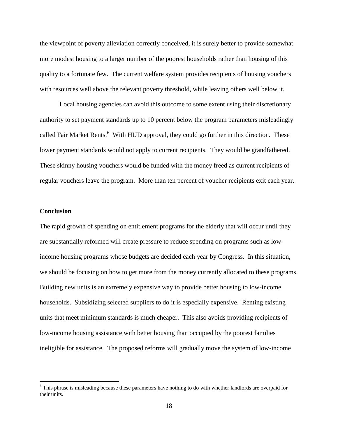the viewpoint of poverty alleviation correctly conceived, it is surely better to provide somewhat more modest housing to a larger number of the poorest households rather than housing of this quality to a fortunate few. The current welfare system provides recipients of housing vouchers with resources well above the relevant poverty threshold, while leaving others well below it.

Local housing agencies can avoid this outcome to some extent using their discretionary authority to set payment standards up to 10 percent below the program parameters misleadingly called Fair Market Rents.<sup>6</sup> With HUD approval, they could go further in this direction. These lower payment standards would not apply to current recipients. They would be grandfathered. These skinny housing vouchers would be funded with the money freed as current recipients of regular vouchers leave the program. More than ten percent of voucher recipients exit each year.

## **Conclusion**

 $\overline{a}$ 

The rapid growth of spending on entitlement programs for the elderly that will occur until they are substantially reformed will create pressure to reduce spending on programs such as lowincome housing programs whose budgets are decided each year by Congress. In this situation, we should be focusing on how to get more from the money currently allocated to these programs. Building new units is an extremely expensive way to provide better housing to low-income households. Subsidizing selected suppliers to do it is especially expensive. Renting existing units that meet minimum standards is much cheaper. This also avoids providing recipients of low-income housing assistance with better housing than occupied by the poorest families ineligible for assistance. The proposed reforms will gradually move the system of low-income

<sup>&</sup>lt;sup>6</sup> This phrase is misleading because these parameters have nothing to do with whether landlords are overpaid for their units.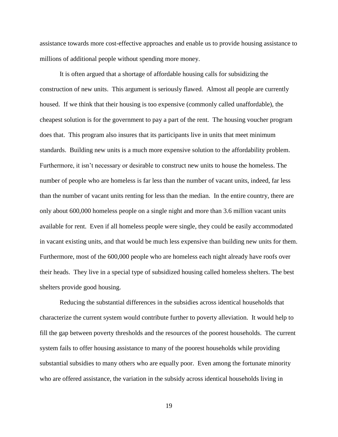assistance towards more cost-effective approaches and enable us to provide housing assistance to millions of additional people without spending more money.

It is often argued that a shortage of affordable housing calls for subsidizing the construction of new units. This argument is seriously flawed. Almost all people are currently housed. If we think that their housing is too expensive (commonly called unaffordable), the cheapest solution is for the government to pay a part of the rent. The housing voucher program does that. This program also insures that its participants live in units that meet minimum standards. Building new units is a much more expensive solution to the affordability problem. Furthermore, it isn't necessary or desirable to construct new units to house the homeless. The number of people who are homeless is far less than the number of vacant units, indeed, far less than the number of vacant units renting for less than the median. In the entire country, there are only about 600,000 homeless people on a single night and more than 3.6 million vacant units available for rent. Even if all homeless people were single, they could be easily accommodated in vacant existing units, and that would be much less expensive than building new units for them. Furthermore, most of the 600,000 people who are homeless each night already have roofs over their heads. They live in a special type of subsidized housing called homeless shelters. The best shelters provide good housing.

Reducing the substantial differences in the subsidies across identical households that characterize the current system would contribute further to poverty alleviation. It would help to fill the gap between poverty thresholds and the resources of the poorest households. The current system fails to offer housing assistance to many of the poorest households while providing substantial subsidies to many others who are equally poor. Even among the fortunate minority who are offered assistance, the variation in the subsidy across identical households living in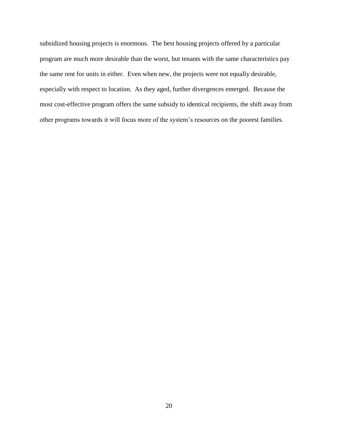subsidized housing projects is enormous. The best housing projects offered by a particular program are much more desirable than the worst, but tenants with the same characteristics pay the same rent for units in either. Even when new, the projects were not equally desirable, especially with respect to location. As they aged, further divergences emerged. Because the most cost-effective program offers the same subsidy to identical recipients, the shift away from other programs towards it will focus more of the system's resources on the poorest families.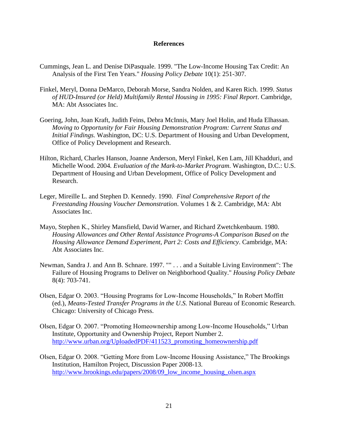## **References**

- Cummings, Jean L. and Denise DiPasquale. 1999. "The Low-Income Housing Tax Credit: An Analysis of the First Ten Years." *Housing Policy Debate* 10(1): 251-307.
- Finkel, Meryl, Donna DeMarco, Deborah Morse, Sandra Nolden, and Karen Rich. 1999. *Status of HUD-Insured (or Held) Multifamily Rental Housing in 1995: Final Report*. Cambridge, MA: Abt Associates Inc.
- Goering, John, Joan Kraft, Judith Feins, Debra McInnis, Mary Joel Holin, and Huda Elhassan. *Moving to Opportunity for Fair Housing Demonstration Program: Current Status and Initial Findings.* Washington, DC: U.S. Department of Housing and Urban Development, Office of Policy Development and Research.
- Hilton, Richard, Charles Hanson, Joanne Anderson, Meryl Finkel, Ken Lam, Jill Khadduri, and Michelle Wood. 2004*. Evaluation of the Mark-to-Market Program*. Washington, D.C.: U.S. Department of Housing and Urban Development, Office of Policy Development and Research.
- Leger, Mireille L. and Stephen D. Kennedy. 1990. *Final Comprehensive Report of the Freestanding Housing Voucher Demonstration*. Volumes 1 & 2. Cambridge, MA: Abt Associates Inc.
- Mayo, Stephen K., Shirley Mansfield, David Warner, and Richard Zwetchkenbaum. 1980. *Housing Allowances and Other Rental Assistance Programs-A Comparison Based on the Housing Allowance Demand Experiment, Part 2: Costs and Efficiency*. Cambridge, MA: Abt Associates Inc.
- Newman, Sandra J. and Ann B. Schnare. 1997. "" . . . and a Suitable Living Environment": The Failure of Housing Programs to Deliver on Neighborhood Quality." *Housing Policy Debate* 8(4): 703-741.
- Olsen, Edgar O. 2003. "Housing Programs for Low-Income Households," In Robert Moffitt (ed.), *Means-Tested Transfer Programs in the U.S.* National Bureau of Economic Research. Chicago: University of Chicago Press.
- Olsen, Edgar O. 2007. "Promoting Homeownership among Low-Income Households," Urban Institute, Opportunity and Ownership Project, Report Number 2. [http://www.urban.org/UploadedPDF/411523\\_promoting\\_homeownership.pdf](http://www.urban.org/UploadedPDF/411523_promoting_homeownership.pdf)
- Olsen, Edgar O. 2008. "Getting More from Low-Income Housing Assistance," The Brookings Institution, Hamilton Project, Discussion Paper 2008-13. http://www.brookings.edu/papers/2008/09 low income housing olsen.aspx